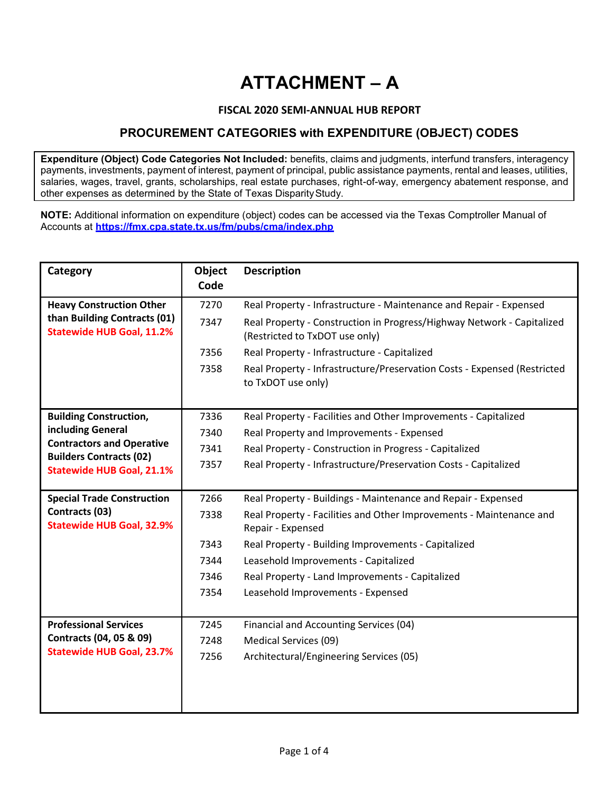## **ATTACHMENT – A**

## **FISCAL 2020 SEMI-ANNUAL HUB REPORT**

## **PROCUREMENT CATEGORIES with EXPENDITURE (OBJECT) CODES**

**Expenditure (Object) Code Categories Not Included:** benefits, claims and judgments, interfund transfers, interagency payments, investments, payment of interest, payment of principal, public assistance payments, rental and leases, utilities, salaries, wages, travel, grants, scholarships, real estate purchases, right-of-way, emergency abatement response, and other expenses as determined by the State of Texas DisparityStudy.

**NOTE:** Additional information on expenditure (object) codes can be accessed via the Texas Comptroller Manual of Accounts at **<https://fmx.cpa.state.tx.us/fm/pubs/cma/index.php>**

| Category                                                                                            | Object<br>Code | <b>Description</b>                                                                                       |
|-----------------------------------------------------------------------------------------------------|----------------|----------------------------------------------------------------------------------------------------------|
| <b>Heavy Construction Other</b><br>than Building Contracts (01)<br><b>Statewide HUB Goal, 11.2%</b> | 7270           | Real Property - Infrastructure - Maintenance and Repair - Expensed                                       |
|                                                                                                     | 7347           | Real Property - Construction in Progress/Highway Network - Capitalized<br>(Restricted to TxDOT use only) |
|                                                                                                     | 7356           | Real Property - Infrastructure - Capitalized                                                             |
|                                                                                                     | 7358           | Real Property - Infrastructure/Preservation Costs - Expensed (Restricted<br>to TxDOT use only)           |
| <b>Building Construction,</b>                                                                       | 7336           | Real Property - Facilities and Other Improvements - Capitalized                                          |
| including General                                                                                   | 7340           | Real Property and Improvements - Expensed                                                                |
| <b>Contractors and Operative</b>                                                                    | 7341           | Real Property - Construction in Progress - Capitalized                                                   |
| <b>Builders Contracts (02)</b><br><b>Statewide HUB Goal, 21.1%</b>                                  | 7357           | Real Property - Infrastructure/Preservation Costs - Capitalized                                          |
|                                                                                                     |                |                                                                                                          |
| <b>Special Trade Construction</b><br>Contracts (03)                                                 | 7266           | Real Property - Buildings - Maintenance and Repair - Expensed                                            |
| <b>Statewide HUB Goal, 32.9%</b>                                                                    | 7338           | Real Property - Facilities and Other Improvements - Maintenance and<br>Repair - Expensed                 |
|                                                                                                     | 7343           | Real Property - Building Improvements - Capitalized                                                      |
|                                                                                                     | 7344           | Leasehold Improvements - Capitalized                                                                     |
|                                                                                                     | 7346           | Real Property - Land Improvements - Capitalized                                                          |
|                                                                                                     | 7354           | Leasehold Improvements - Expensed                                                                        |
|                                                                                                     |                |                                                                                                          |
| <b>Professional Services</b><br>Contracts (04, 05 & 09)<br><b>Statewide HUB Goal, 23.7%</b>         | 7245           | Financial and Accounting Services (04)                                                                   |
|                                                                                                     | 7248           | Medical Services (09)                                                                                    |
|                                                                                                     | 7256           | Architectural/Engineering Services (05)                                                                  |
|                                                                                                     |                |                                                                                                          |
|                                                                                                     |                |                                                                                                          |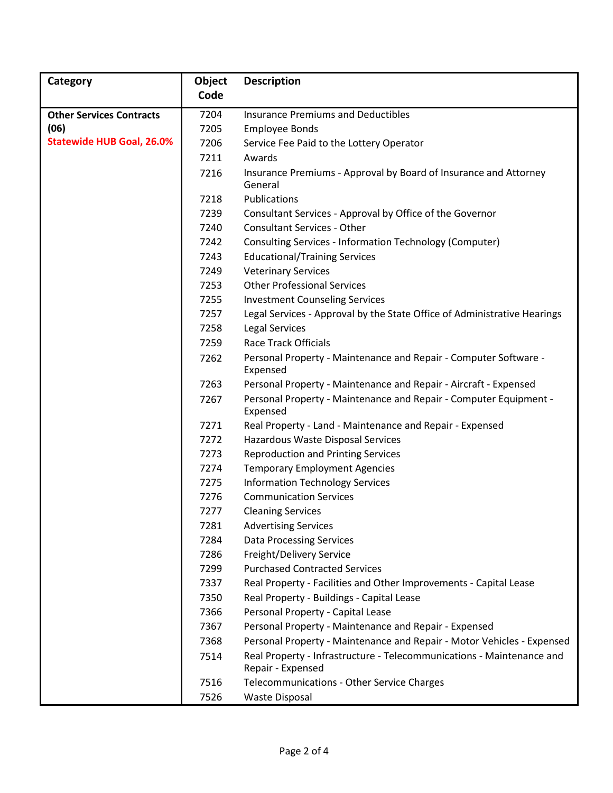| Category                         | <b>Object</b> | <b>Description</b>                                                                         |
|----------------------------------|---------------|--------------------------------------------------------------------------------------------|
|                                  | Code          |                                                                                            |
| <b>Other Services Contracts</b>  | 7204          | <b>Insurance Premiums and Deductibles</b>                                                  |
| (06)                             | 7205          | <b>Employee Bonds</b>                                                                      |
| <b>Statewide HUB Goal, 26.0%</b> | 7206          | Service Fee Paid to the Lottery Operator                                                   |
|                                  | 7211          | Awards                                                                                     |
|                                  | 7216          | Insurance Premiums - Approval by Board of Insurance and Attorney<br>General                |
|                                  | 7218          | Publications                                                                               |
|                                  | 7239          | Consultant Services - Approval by Office of the Governor                                   |
|                                  | 7240          | <b>Consultant Services - Other</b>                                                         |
|                                  | 7242          | <b>Consulting Services - Information Technology (Computer)</b>                             |
|                                  | 7243          | <b>Educational/Training Services</b>                                                       |
|                                  | 7249          | <b>Veterinary Services</b>                                                                 |
|                                  | 7253          | <b>Other Professional Services</b>                                                         |
|                                  | 7255          | <b>Investment Counseling Services</b>                                                      |
|                                  | 7257          | Legal Services - Approval by the State Office of Administrative Hearings                   |
|                                  | 7258          | <b>Legal Services</b>                                                                      |
|                                  | 7259          | <b>Race Track Officials</b>                                                                |
|                                  | 7262          | Personal Property - Maintenance and Repair - Computer Software -<br>Expensed               |
|                                  | 7263          | Personal Property - Maintenance and Repair - Aircraft - Expensed                           |
|                                  | 7267          | Personal Property - Maintenance and Repair - Computer Equipment -<br>Expensed              |
|                                  | 7271          | Real Property - Land - Maintenance and Repair - Expensed                                   |
|                                  | 7272          | Hazardous Waste Disposal Services                                                          |
|                                  | 7273          | <b>Reproduction and Printing Services</b>                                                  |
|                                  | 7274          | <b>Temporary Employment Agencies</b>                                                       |
|                                  | 7275          | <b>Information Technology Services</b>                                                     |
|                                  | 7276          | <b>Communication Services</b>                                                              |
|                                  | 7277          | <b>Cleaning Services</b>                                                                   |
|                                  | 7281          | <b>Advertising Services</b>                                                                |
|                                  | 7284          | <b>Data Processing Services</b>                                                            |
|                                  | 7286          | Freight/Delivery Service                                                                   |
|                                  | 7299          | <b>Purchased Contracted Services</b>                                                       |
|                                  | 7337          | Real Property - Facilities and Other Improvements - Capital Lease                          |
|                                  | 7350          | Real Property - Buildings - Capital Lease                                                  |
|                                  | 7366          | Personal Property - Capital Lease                                                          |
|                                  | 7367          | Personal Property - Maintenance and Repair - Expensed                                      |
|                                  | 7368          | Personal Property - Maintenance and Repair - Motor Vehicles - Expensed                     |
|                                  | 7514          | Real Property - Infrastructure - Telecommunications - Maintenance and<br>Repair - Expensed |
|                                  | 7516          | Telecommunications - Other Service Charges                                                 |
|                                  | 7526          | Waste Disposal                                                                             |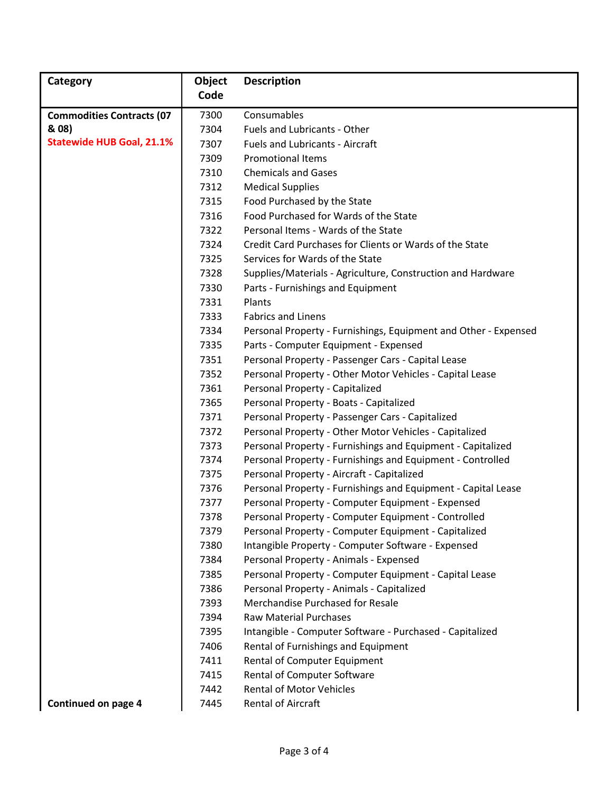| Category                         | Object       | <b>Description</b>                                                                              |
|----------------------------------|--------------|-------------------------------------------------------------------------------------------------|
|                                  | Code         |                                                                                                 |
| <b>Commodities Contracts (07</b> | 7300         | Consumables                                                                                     |
| & 08)                            | 7304         | Fuels and Lubricants - Other                                                                    |
| <b>Statewide HUB Goal, 21.1%</b> | 7307         | <b>Fuels and Lubricants - Aircraft</b>                                                          |
|                                  | 7309         | <b>Promotional Items</b>                                                                        |
|                                  | 7310         | <b>Chemicals and Gases</b>                                                                      |
|                                  | 7312         | <b>Medical Supplies</b>                                                                         |
|                                  | 7315         | Food Purchased by the State                                                                     |
|                                  | 7316         | Food Purchased for Wards of the State                                                           |
|                                  | 7322         | Personal Items - Wards of the State                                                             |
|                                  | 7324         | Credit Card Purchases for Clients or Wards of the State                                         |
|                                  | 7325         | Services for Wards of the State                                                                 |
|                                  | 7328         | Supplies/Materials - Agriculture, Construction and Hardware                                     |
|                                  | 7330         | Parts - Furnishings and Equipment                                                               |
|                                  | 7331         | Plants                                                                                          |
|                                  | 7333         | <b>Fabrics and Linens</b>                                                                       |
|                                  | 7334         | Personal Property - Furnishings, Equipment and Other - Expensed                                 |
|                                  | 7335         | Parts - Computer Equipment - Expensed                                                           |
|                                  | 7351         | Personal Property - Passenger Cars - Capital Lease                                              |
|                                  | 7352         | Personal Property - Other Motor Vehicles - Capital Lease                                        |
|                                  | 7361         | Personal Property - Capitalized                                                                 |
|                                  | 7365         | Personal Property - Boats - Capitalized                                                         |
|                                  | 7371         | Personal Property - Passenger Cars - Capitalized                                                |
|                                  | 7372         | Personal Property - Other Motor Vehicles - Capitalized                                          |
|                                  | 7373         | Personal Property - Furnishings and Equipment - Capitalized                                     |
|                                  | 7374         | Personal Property - Furnishings and Equipment - Controlled                                      |
|                                  | 7375         | Personal Property - Aircraft - Capitalized                                                      |
|                                  | 7376         | Personal Property - Furnishings and Equipment - Capital Lease                                   |
|                                  | 7377         | Personal Property - Computer Equipment - Expensed                                               |
|                                  | 7378         | Personal Property - Computer Equipment - Controlled                                             |
|                                  | 7379         | Personal Property - Computer Equipment - Capitalized                                            |
|                                  | 7380         | Intangible Property - Computer Software - Expensed                                              |
|                                  | 7384         | Personal Property - Animals - Expensed                                                          |
|                                  | 7385         | Personal Property - Computer Equipment - Capital Lease                                          |
|                                  | 7386         | Personal Property - Animals - Capitalized                                                       |
|                                  | 7393         | Merchandise Purchased for Resale<br><b>Raw Material Purchases</b>                               |
|                                  | 7394<br>7395 |                                                                                                 |
|                                  | 7406         | Intangible - Computer Software - Purchased - Capitalized<br>Rental of Furnishings and Equipment |
|                                  | 7411         | Rental of Computer Equipment                                                                    |
|                                  | 7415         | Rental of Computer Software                                                                     |
|                                  | 7442         | <b>Rental of Motor Vehicles</b>                                                                 |
| Continued on page 4              | 7445         | <b>Rental of Aircraft</b>                                                                       |
|                                  |              |                                                                                                 |